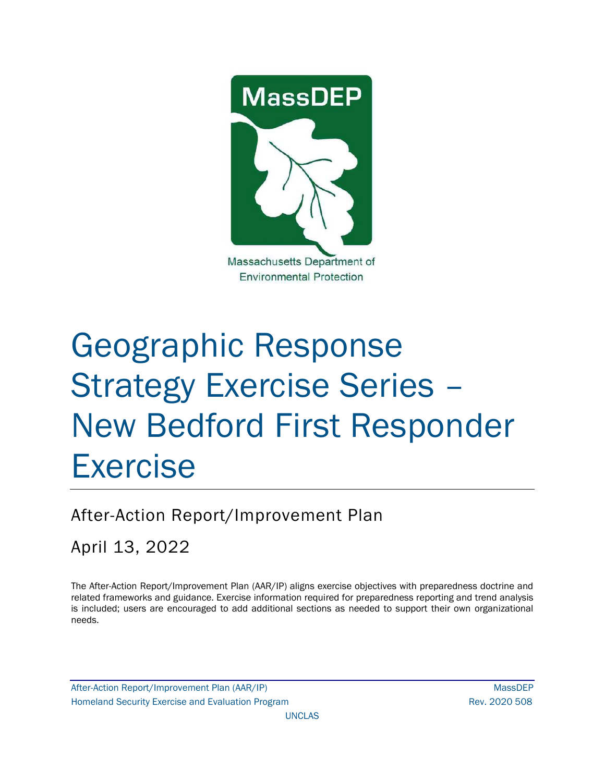

# Geographic Response Strategy Exercise Series – New Bedford First Responder Exercise

# After-Action Report/Improvement Plan

April 13, 2022

The After-Action Report/Improvement Plan (AAR/IP) aligns exercise objectives with preparedness doctrine and related frameworks and guidance. Exercise information required for preparedness reporting and trend analysis is included; users are encouraged to add additional sections as needed to support their own organizational needs.

After-Action Report/Improvement Plan (AAR/IP) NassDEP Homeland Security Exercise and Evaluation Program News 2020 508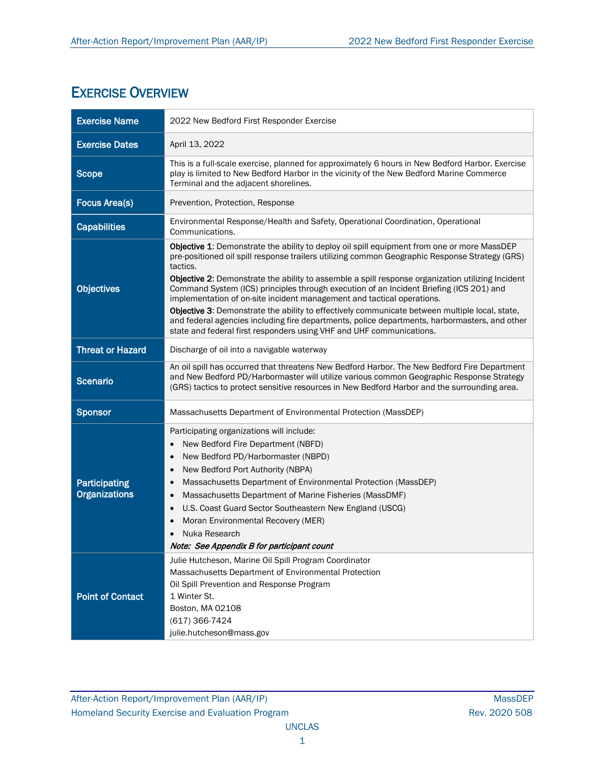# EXERCISE OVERVIEW

| <b>Exercise Name</b>                         | 2022 New Bedford First Responder Exercise                                                                                                                                                                                                                                                                                                                                                                                                                                                                                                                                                                                                                                                                                                                      |
|----------------------------------------------|----------------------------------------------------------------------------------------------------------------------------------------------------------------------------------------------------------------------------------------------------------------------------------------------------------------------------------------------------------------------------------------------------------------------------------------------------------------------------------------------------------------------------------------------------------------------------------------------------------------------------------------------------------------------------------------------------------------------------------------------------------------|
| <b>Exercise Dates</b>                        | April 13, 2022                                                                                                                                                                                                                                                                                                                                                                                                                                                                                                                                                                                                                                                                                                                                                 |
| <b>Scope</b>                                 | This is a full-scale exercise, planned for approximately 6 hours in New Bedford Harbor. Exercise<br>play is limited to New Bedford Harbor in the vicinity of the New Bedford Marine Commerce<br>Terminal and the adjacent shorelines.                                                                                                                                                                                                                                                                                                                                                                                                                                                                                                                          |
| <b>Focus Area(s)</b>                         | Prevention, Protection, Response                                                                                                                                                                                                                                                                                                                                                                                                                                                                                                                                                                                                                                                                                                                               |
| <b>Capabilities</b>                          | Environmental Response/Health and Safety, Operational Coordination, Operational<br>Communications.                                                                                                                                                                                                                                                                                                                                                                                                                                                                                                                                                                                                                                                             |
| <b>Objectives</b>                            | Objective 1: Demonstrate the ability to deploy oil spill equipment from one or more MassDEP<br>pre-positioned oil spill response trailers utilizing common Geographic Response Strategy (GRS)<br>tactics.<br>Objective 2: Demonstrate the ability to assemble a spill response organization utilizing Incident<br>Command System (ICS) principles through execution of an Incident Briefing (ICS 201) and<br>implementation of on-site incident management and tactical operations.<br>Objective 3: Demonstrate the ability to effectively communicate between multiple local, state,<br>and federal agencies including fire departments, police departments, harbormasters, and other<br>state and federal first responders using VHF and UHF communications. |
| <b>Threat or Hazard</b>                      | Discharge of oil into a navigable waterway                                                                                                                                                                                                                                                                                                                                                                                                                                                                                                                                                                                                                                                                                                                     |
| <b>Scenario</b>                              | An oil spill has occurred that threatens New Bedford Harbor. The New Bedford Fire Department<br>and New Bedford PD/Harbormaster will utilize various common Geographic Response Strategy<br>(GRS) tactics to protect sensitive resources in New Bedford Harbor and the surrounding area.                                                                                                                                                                                                                                                                                                                                                                                                                                                                       |
| <b>Sponsor</b>                               | Massachusetts Department of Environmental Protection (MassDEP)                                                                                                                                                                                                                                                                                                                                                                                                                                                                                                                                                                                                                                                                                                 |
| <b>Participating</b><br><b>Organizations</b> | Participating organizations will include:<br>New Bedford Fire Department (NBFD)<br>New Bedford PD/Harbormaster (NBPD)<br>$\bullet$<br>New Bedford Port Authority (NBPA)<br>$\bullet$<br>Massachusetts Department of Environmental Protection (MassDEP)<br>Massachusetts Department of Marine Fisheries (MassDMF)<br>U.S. Coast Guard Sector Southeastern New England (USCG)<br>Moran Environmental Recovery (MER)<br>Nuka Research<br>Note: See Appendix B for participant count                                                                                                                                                                                                                                                                               |
| <b>Point of Contact</b>                      | Julie Hutcheson, Marine Oil Spill Program Coordinator<br>Massachusetts Department of Environmental Protection<br>Oil Spill Prevention and Response Program<br>1 Winter St.<br>Boston, MA 02108<br>(617) 366-7424<br>julie.hutcheson@mass.gov                                                                                                                                                                                                                                                                                                                                                                                                                                                                                                                   |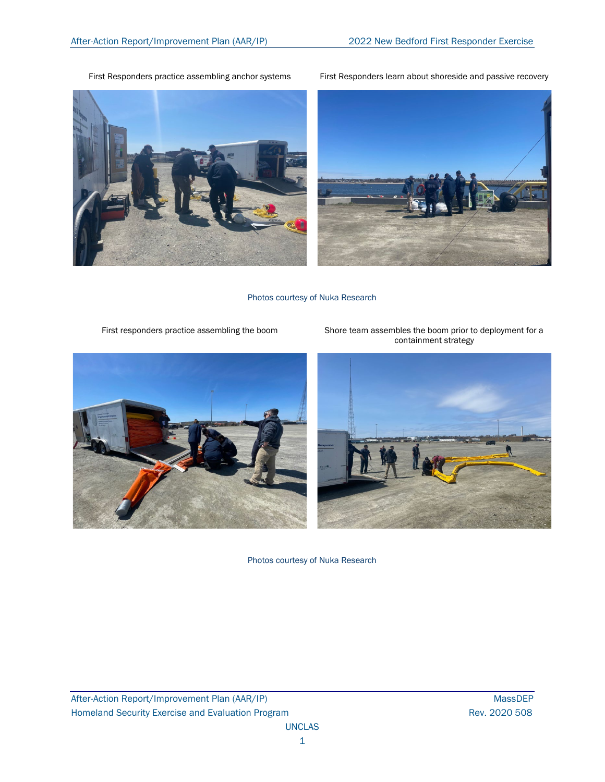First Responders practice assembling anchor systems First Responders learn about shoreside and passive recovery





Photos courtesy of Nuka Research

First responders practice assembling the boom Shore team assembles the boom prior to deployment for a



Photos courtesy of Nuka Research

After-Action Report/Improvement Plan (AAR/IP) MassDEP Homeland Security Exercise and Evaluation Program **Rev. 2020 508** Rev. 2020 508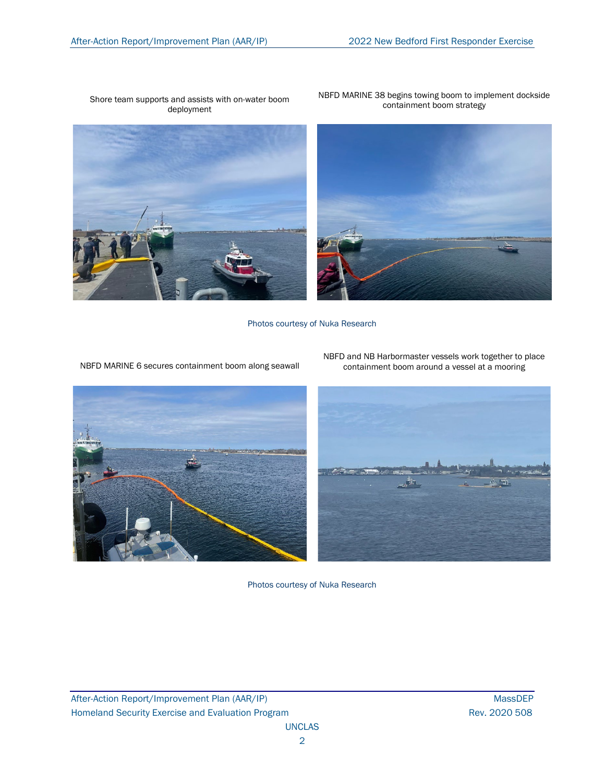#### Shore team supports and assists with on-water boom deployment



NBFD MARINE 38 begins towing boom to implement dockside containment boom strategy



Photos courtesy of Nuka Research



NBFD MARINE 6 secures containment boom along seawall



NBFD and NB Harbormaster vessels work together to place containment boom around a vessel at a mooring

Photos courtesy of Nuka Research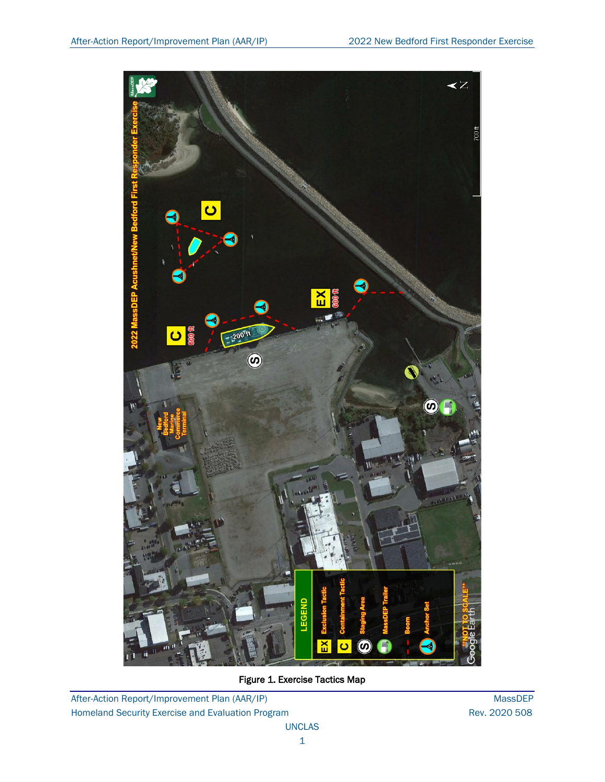

Figure 1. Exercise Tactics Map

After-Action Report/Improvement Plan (AAR/IP) MassDEP Homeland Security Exercise and Evaluation Program **Rev. 2020 508** Rev. 2020 508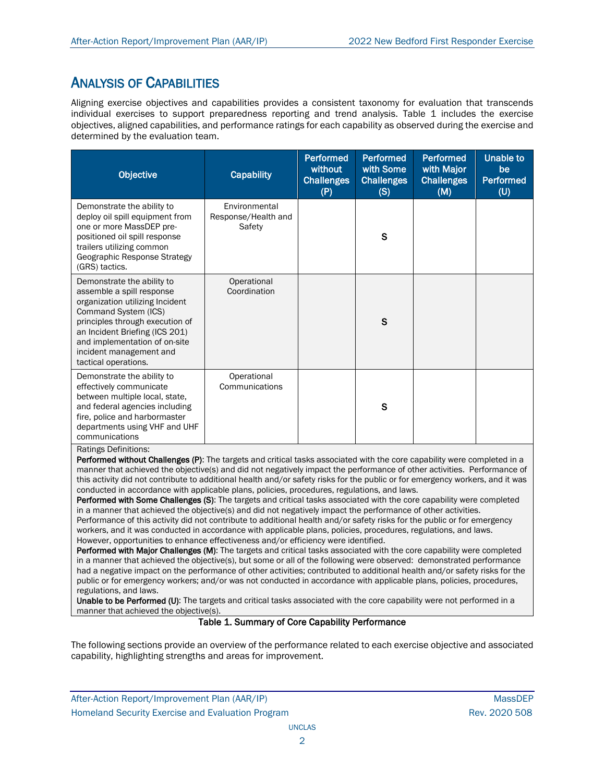## ANALYSIS OF CAPABILITIES

Aligning exercise objectives and capabilities provides a consistent taxonomy for evaluation that transcends individual exercises to support preparedness reporting and trend analysis. Table 1 includes the exercise objectives, aligned capabilities, and performance ratings for each capability as observed during the exercise and determined by the evaluation team.

| <b>Objective</b><br><b>Capability</b>                                                                                                                                                                                                                                       |                                                | <b>Performed</b><br>without<br><b>Challenges</b><br>(P) | <b>Performed</b><br>with Some<br><b>Challenges</b><br>(S) | <b>Performed</b><br>with Major<br><b>Challenges</b><br>(M) | <b>Unable to</b><br>be<br><b>Performed</b><br>(U) |
|-----------------------------------------------------------------------------------------------------------------------------------------------------------------------------------------------------------------------------------------------------------------------------|------------------------------------------------|---------------------------------------------------------|-----------------------------------------------------------|------------------------------------------------------------|---------------------------------------------------|
| Demonstrate the ability to<br>deploy oil spill equipment from<br>one or more MassDEP pre-<br>positioned oil spill response<br>trailers utilizing common<br>Geographic Response Strategy<br>(GRS) tactics.                                                                   | Environmental<br>Response/Health and<br>Safety |                                                         | $\mathbf S$                                               |                                                            |                                                   |
| Demonstrate the ability to<br>assemble a spill response<br>organization utilizing Incident<br>Command System (ICS)<br>principles through execution of<br>an Incident Briefing (ICS 201)<br>and implementation of on-site<br>incident management and<br>tactical operations. | Operational<br>Coordination                    |                                                         | S                                                         |                                                            |                                                   |
| Demonstrate the ability to<br>effectively communicate<br>between multiple local, state,<br>and federal agencies including<br>fire, police and harbormaster<br>departments using VHF and UHF<br>communications<br>Ratings Definitions:                                       | Operational<br>Communications                  |                                                         | S                                                         |                                                            |                                                   |

Performed without Challenges (P): The targets and critical tasks associated with the core capability were completed in a manner that achieved the objective(s) and did not negatively impact the performance of other activities. Performance of this activity did not contribute to additional health and/or safety risks for the public or for emergency workers, and it was conducted in accordance with applicable plans, policies, procedures, regulations, and laws.

Performed with Some Challenges (S): The targets and critical tasks associated with the core capability were completed in a manner that achieved the objective(s) and did not negatively impact the performance of other activities. Performance of this activity did not contribute to additional health and/or safety risks for the public or for emergency workers, and it was conducted in accordance with applicable plans, policies, procedures, regulations, and laws. However, opportunities to enhance effectiveness and/or efficiency were identified.

Performed with Major Challenges (M): The targets and critical tasks associated with the core capability were completed in a manner that achieved the objective(s), but some or all of the following were observed: demonstrated performance had a negative impact on the performance of other activities; contributed to additional health and/or safety risks for the public or for emergency workers; and/or was not conducted in accordance with applicable plans, policies, procedures, regulations, and laws.

Unable to be Performed (U): The targets and critical tasks associated with the core capability were not performed in a manner that achieved the objective(s).

### Table 1. Summary of Core Capability Performance

The following sections provide an overview of the performance related to each exercise objective and associated capability, highlighting strengths and areas for improvement.

After-Action Report/Improvement Plan (AAR/IP) NassDEP After-Action Report/Improvement Plan (AAR/IP) Homeland Security Exercise and Evaluation Program **Rev. 2020 508** Rev. 2020 508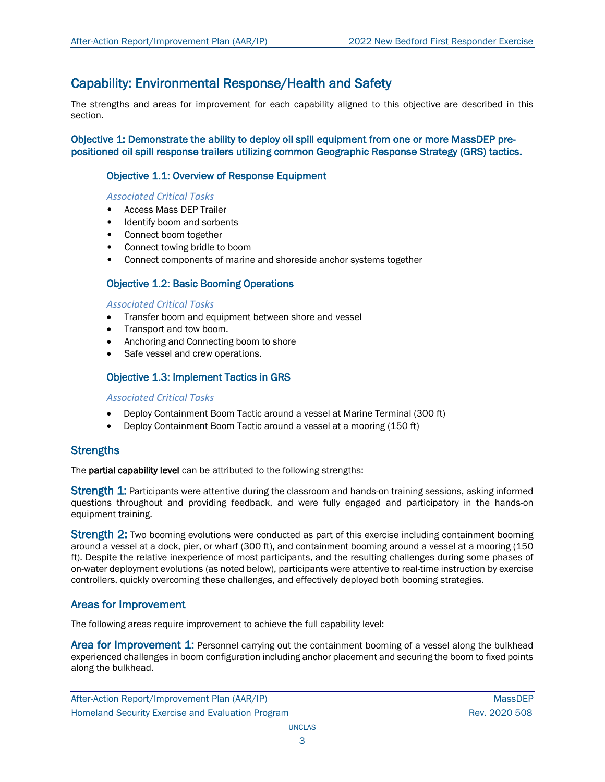## Capability: Environmental Response/Health and Safety

The strengths and areas for improvement for each capability aligned to this objective are described in this section.

Objective 1: Demonstrate the ability to deploy oil spill equipment from one or more MassDEP prepositioned oil spill response trailers utilizing common Geographic Response Strategy (GRS) tactics.

## Objective 1.1: Overview of Response Equipment

## *Associated Critical Tasks*

- Access Mass DEP Trailer
- Identify boom and sorbents
- Connect boom together
- Connect towing bridle to boom
- Connect components of marine and shoreside anchor systems together

## Objective 1.2: Basic Booming Operations

## *Associated Critical Tasks*

- Transfer boom and equipment between shore and vessel
- Transport and tow boom.
- Anchoring and Connecting boom to shore
- Safe vessel and crew operations.

## Objective 1.3: Implement Tactics in GRS

### *Associated Critical Tasks*

- Deploy Containment Boom Tactic around a vessel at Marine Terminal (300 ft)
- Deploy Containment Boom Tactic around a vessel at a mooring (150 ft)

## **Strengths**

The **partial capability level** can be attributed to the following strengths:

Strength 1: Participants were attentive during the classroom and hands-on training sessions, asking informed questions throughout and providing feedback, and were fully engaged and participatory in the hands-on equipment training.

**Strength 2:** Two booming evolutions were conducted as part of this exercise including containment booming around a vessel at a dock, pier, or wharf (300 ft), and containment booming around a vessel at a mooring (150 ft). Despite the relative inexperience of most participants, and the resulting challenges during some phases of on-water deployment evolutions (as noted below), participants were attentive to real-time instruction by exercise controllers, quickly overcoming these challenges, and effectively deployed both booming strategies.

## Areas for Improvement

The following areas require improvement to achieve the full capability level:

Area for Improvement 1: Personnel carrying out the containment booming of a vessel along the bulkhead experienced challenges in boom configuration including anchor placement and securing the boom to fixed points along the bulkhead.

After-Action Report/Improvement Plan (AAR/IP) MassDEP and the control of the control of the control of the control of the control of the control of the control of the control of the control of the control of the control of Homeland Security Exercise and Evaluation Program **Rev. 2020 508** Rev. 2020 508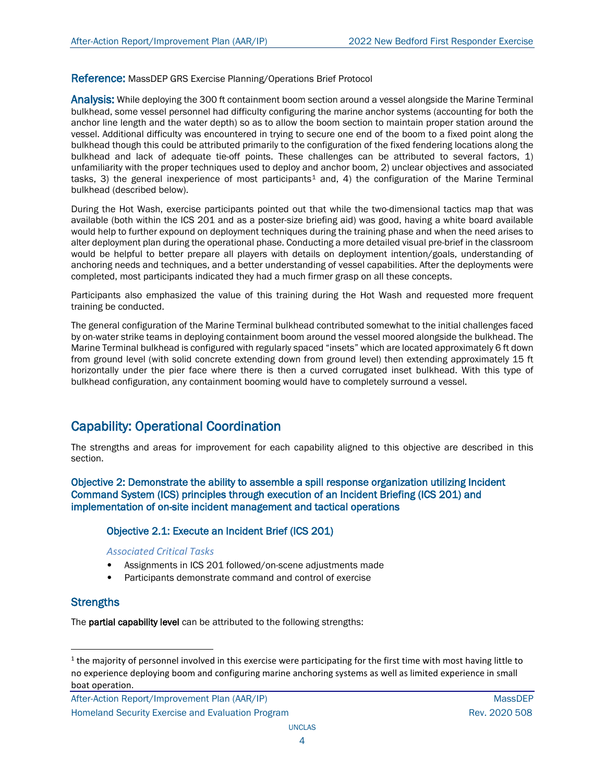Reference: MassDEP GRS Exercise Planning/Operations Brief Protocol

Analysis: While deploying the 300 ft containment boom section around a vessel alongside the Marine Terminal bulkhead, some vessel personnel had difficulty configuring the marine anchor systems (accounting for both the anchor line length and the water depth) so as to allow the boom section to maintain proper station around the vessel. Additional difficulty was encountered in trying to secure one end of the boom to a fixed point along the bulkhead though this could be attributed primarily to the configuration of the fixed fendering locations along the bulkhead and lack of adequate tie-off points. These challenges can be attributed to several factors, 1) unfamiliarity with the proper techniques used to deploy and anchor boom, 2) unclear objectives and associated tasks, 3) the general inexperience of most participants<sup>[1](#page-7-0)</sup> and, 4) the configuration of the Marine Terminal bulkhead (described below).

During the Hot Wash, exercise participants pointed out that while the two-dimensional tactics map that was available (both within the ICS 201 and as a poster-size briefing aid) was good, having a white board available would help to further expound on deployment techniques during the training phase and when the need arises to alter deployment plan during the operational phase. Conducting a more detailed visual pre-brief in the classroom would be helpful to better prepare all players with details on deployment intention/goals, understanding of anchoring needs and techniques, and a better understanding of vessel capabilities. After the deployments were completed, most participants indicated they had a much firmer grasp on all these concepts.

Participants also emphasized the value of this training during the Hot Wash and requested more frequent training be conducted.

The general configuration of the Marine Terminal bulkhead contributed somewhat to the initial challenges faced by on-water strike teams in deploying containment boom around the vessel moored alongside the bulkhead. The Marine Terminal bulkhead is configured with regularly spaced "insets" which are located approximately 6 ft down from ground level (with solid concrete extending down from ground level) then extending approximately 15 ft horizontally under the pier face where there is then a curved corrugated inset bulkhead. With this type of bulkhead configuration, any containment booming would have to completely surround a vessel.

## Capability: Operational Coordination

The strengths and areas for improvement for each capability aligned to this objective are described in this section.

Objective 2: Demonstrate the ability to assemble a spill response organization utilizing Incident Command System (ICS) principles through execution of an Incident Briefing (ICS 201) and implementation of on-site incident management and tactical operations

## Objective 2.1: Execute an Incident Brief (ICS 201)

### *Associated Critical Tasks*

- Assignments in ICS 201 followed/on-scene adjustments made
- Participants demonstrate command and control of exercise

## **Strengths**

The **partial capability level** can be attributed to the following strengths:

After-Action Report/Improvement Plan (AAR/IP) MassDEP and the control of the control of the control of the control of the control of the control of the control of the control of the control of the control of the control of Homeland Security Exercise and Evaluation Program **Rev. 2020 508** Rev. 2020 508

<span id="page-7-0"></span> $1$  the majority of personnel involved in this exercise were participating for the first time with most having little to no experience deploying boom and configuring marine anchoring systems as well as limited experience in small boat operation.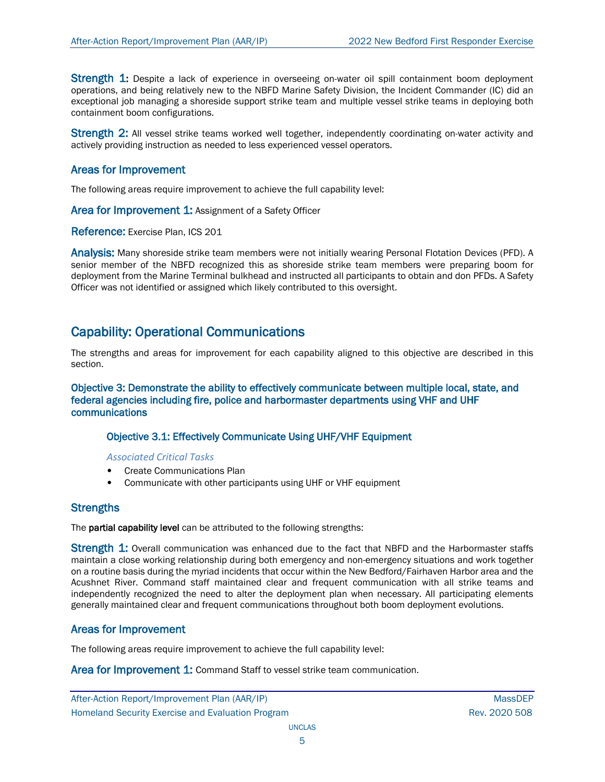Strength 1: Despite a lack of experience in overseeing on-water oil spill containment boom deployment operations, and being relatively new to the NBFD Marine Safety Division, the Incident Commander (IC) did an exceptional job managing a shoreside support strike team and multiple vessel strike teams in deploying both containment boom configurations.

Strength 2: All vessel strike teams worked well together, independently coordinating on-water activity and actively providing instruction as needed to less experienced vessel operators.

## Areas for Improvement

The following areas require improvement to achieve the full capability level:

Area for Improvement 1: Assignment of a Safety Officer

Reference: Exercise Plan, ICS 201

Analysis: Many shoreside strike team members were not initially wearing Personal Flotation Devices (PFD). A senior member of the NBFD recognized this as shoreside strike team members were preparing boom for deployment from the Marine Terminal bulkhead and instructed all participants to obtain and don PFDs. A Safety Officer was not identified or assigned which likely contributed to this oversight.

## Capability: Operational Communications

The strengths and areas for improvement for each capability aligned to this objective are described in this section.

Objective 3: Demonstrate the ability to effectively communicate between multiple local, state, and federal agencies including fire, police and harbormaster departments using VHF and UHF communications

## Objective 3.1: Effectively Communicate Using UHF/VHF Equipment

*Associated Critical Tasks*

- Create Communications Plan
- Communicate with other participants using UHF or VHF equipment

## **Strengths**

The partial capability level can be attributed to the following strengths:

Strength 1: Overall communication was enhanced due to the fact that NBFD and the Harbormaster staffs maintain a close working relationship during both emergency and non-emergency situations and work together on a routine basis during the myriad incidents that occur within the New Bedford/Fairhaven Harbor area and the Acushnet River. Command staff maintained clear and frequent communication with all strike teams and independently recognized the need to alter the deployment plan when necessary. All participating elements generally maintained clear and frequent communications throughout both boom deployment evolutions.

## Areas for Improvement

The following areas require improvement to achieve the full capability level:

Area for Improvement 1: Command Staff to vessel strike team communication.

After-Action Report/Improvement Plan (AAR/IP) NassDEP After-Action Report/Improvement Plan (AAR/IP) Homeland Security Exercise and Evaluation Program **Rev. 2020 508** Rev. 2020 508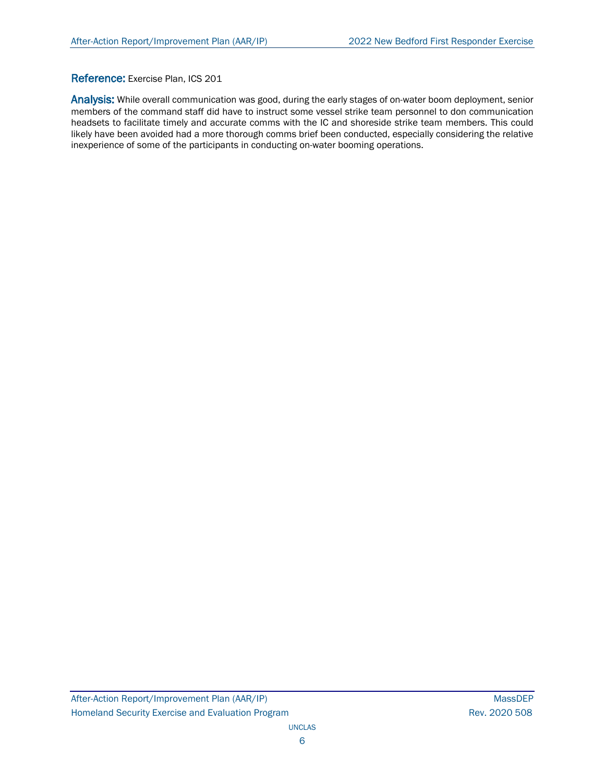## Reference: Exercise Plan, ICS 201

Analysis: While overall communication was good, during the early stages of on-water boom deployment, senior members of the command staff did have to instruct some vessel strike team personnel to don communication headsets to facilitate timely and accurate comms with the IC and shoreside strike team members. This could likely have been avoided had a more thorough comms brief been conducted, especially considering the relative inexperience of some of the participants in conducting on-water booming operations.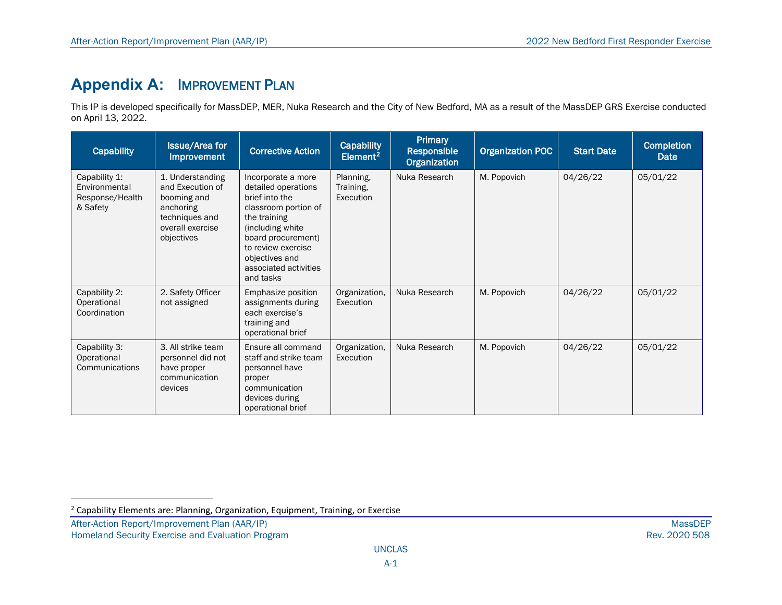# <span id="page-10-0"></span>**Appendix A:** IMPROVEMENT PLAN

This IP is developed specifically for MassDEP, MER, Nuka Research and the City of New Bedford, MA as a result of the MassDEP GRS Exercise conducted on April 13, 2022.

| <b>Capability</b>                                             | <b>Issue/Area for</b><br><b>Improvement</b>                                                                          | <b>Corrective Action</b>                                                                                                                                                                                                    | <b>Capability</b><br>Element <sup>2</sup> | Primary<br><b>Responsible</b><br><b>Organization</b> | <b>Organization POC</b> | <b>Start Date</b> | <b>Completion</b><br><b>Date</b> |
|---------------------------------------------------------------|----------------------------------------------------------------------------------------------------------------------|-----------------------------------------------------------------------------------------------------------------------------------------------------------------------------------------------------------------------------|-------------------------------------------|------------------------------------------------------|-------------------------|-------------------|----------------------------------|
| Capability 1:<br>Environmental<br>Response/Health<br>& Safety | 1. Understanding<br>and Execution of<br>booming and<br>anchoring<br>techniques and<br>overall exercise<br>objectives | Incorporate a more<br>detailed operations<br>brief into the<br>classroom portion of<br>the training<br>(including white<br>board procurement)<br>to review exercise<br>objectives and<br>associated activities<br>and tasks | Planning,<br>Training.<br>Execution       | Nuka Research                                        | M. Popovich             | 04/26/22          | 05/01/22                         |
| Capability 2:<br>Operational<br>Coordination                  | 2. Safety Officer<br>not assigned                                                                                    | Emphasize position<br>assignments during<br>each exercise's<br>training and<br>operational brief                                                                                                                            | Organization,<br>Execution                | Nuka Research                                        | M. Popovich             | 04/26/22          | 05/01/22                         |
| Capability 3:<br>Operational<br>Communications                | 3. All strike team<br>personnel did not<br>have proper<br>communication<br>devices                                   | Ensure all command<br>staff and strike team<br>personnel have<br>proper<br>communication<br>devices during<br>operational brief                                                                                             | Organization,<br>Execution                | Nuka Research                                        | M. Popovich             | 04/26/22          | 05/01/22                         |

 $2$  Capability Elements are: Planning, Organization, Equipment, Training, or Exercise

After-Action Report/Improvement Plan (AAR/IP) MassDEP<br>Homeland Security Exercise and Evaluation Program and the state of the state of the state of the state of the Rev. 2020 508

Homeland Security Exercise and Evaluation Program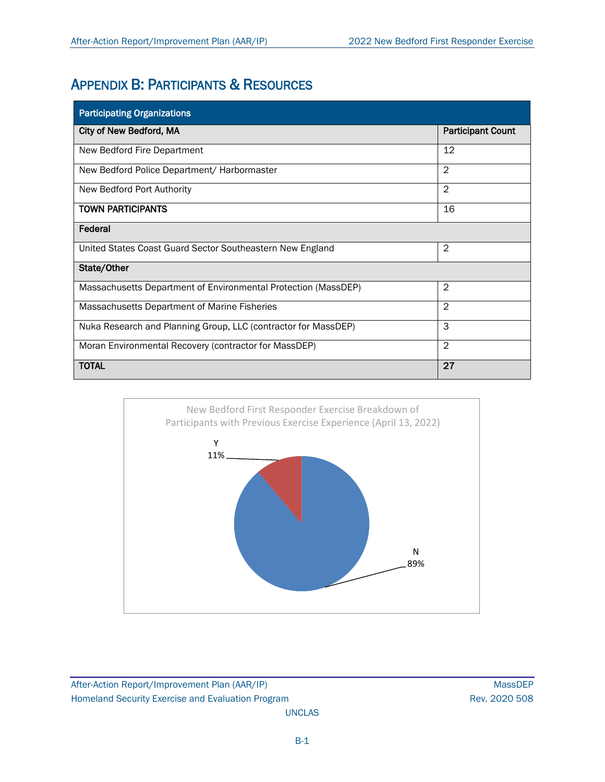# APPENDIX B: PARTICIPANTS & RESOURCES

| <b>Participating Organizations</b>                             |                          |  |  |  |
|----------------------------------------------------------------|--------------------------|--|--|--|
| City of New Bedford, MA                                        | <b>Participant Count</b> |  |  |  |
| New Bedford Fire Department                                    | 12                       |  |  |  |
| New Bedford Police Department/ Harbormaster                    | $\overline{2}$           |  |  |  |
| New Bedford Port Authority                                     | $\overline{2}$           |  |  |  |
| <b>TOWN PARTICIPANTS</b>                                       | 16                       |  |  |  |
| Federal                                                        |                          |  |  |  |
| United States Coast Guard Sector Southeastern New England      | $\overline{2}$           |  |  |  |
| State/Other                                                    |                          |  |  |  |
| Massachusetts Department of Environmental Protection (MassDEP) | 2                        |  |  |  |
| Massachusetts Department of Marine Fisheries                   | $\overline{2}$           |  |  |  |
| Nuka Research and Planning Group, LLC (contractor for MassDEP) | 3                        |  |  |  |
| Moran Environmental Recovery (contractor for MassDEP)          | $\overline{2}$           |  |  |  |
| <b>TOTAL</b>                                                   | 27                       |  |  |  |



After-Action Report/Improvement Plan (AAR/IP) MassDEP Homeland Security Exercise and Evaluation Program **Rev. 2020 508** Rev. 2020 508

UNCLAS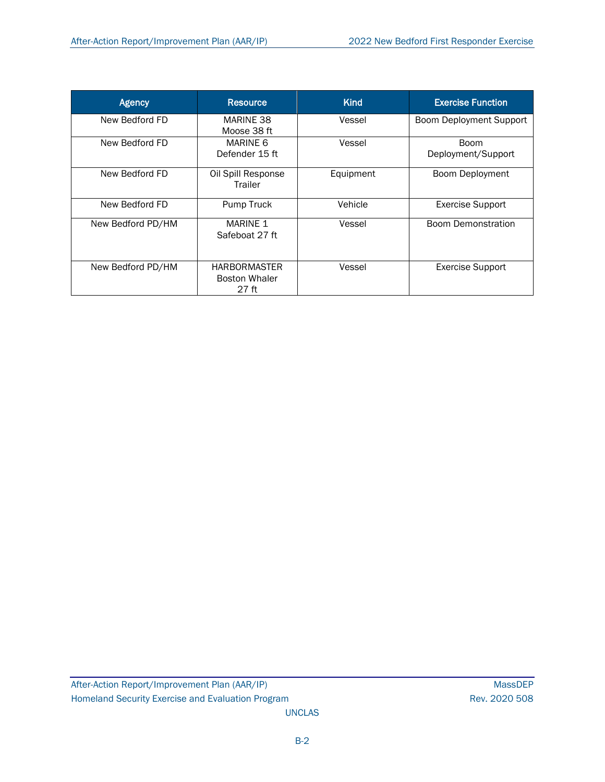| <b>Agency</b>     | <b>Resource</b>                                      | <b>Kind</b> | <b>Exercise Function</b>          |
|-------------------|------------------------------------------------------|-------------|-----------------------------------|
| New Bedford FD    | MARINE 38<br>Moose 38 ft                             | Vessel      | <b>Boom Deployment Support</b>    |
| New Bedford FD    | MARINE 6<br>Defender 15 ft                           | Vessel      | <b>Boom</b><br>Deployment/Support |
| New Bedford FD    | Oil Spill Response<br>Trailer                        | Equipment   | Boom Deployment                   |
| New Bedford FD    | Pump Truck                                           | Vehicle     | <b>Exercise Support</b>           |
| New Bedford PD/HM | <b>MARINE 1</b><br>Safeboat 27 ft                    | Vessel      | <b>Boom Demonstration</b>         |
| New Bedford PD/HM | <b>HARBORMASTER</b><br><b>Boston Whaler</b><br>27 ft | Vessel      | <b>Exercise Support</b>           |

UNCLAS